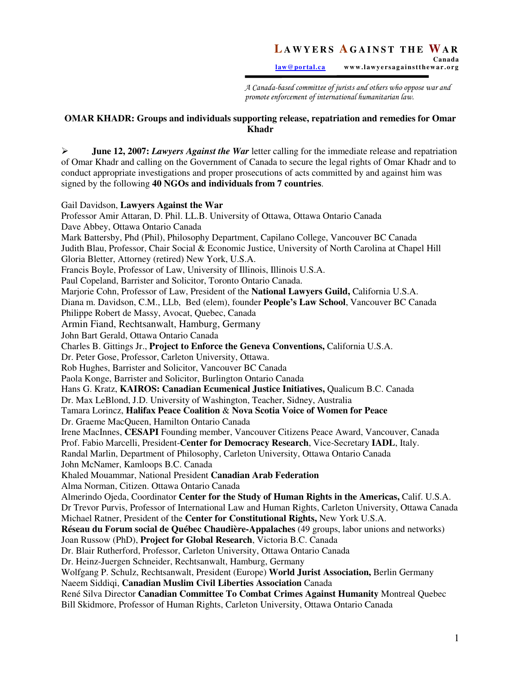A Canada-based committee of jurists and others who oppose war and promote enforcement of international humanitarian law.

## **OMAR KHADR: Groups and individuals supporting release, repatriation and remedies for Omar Khadr**

 **June 12, 2007:** *Lawyers Against the War* letter calling for the immediate release and repatriation of Omar Khadr and calling on the Government of Canada to secure the legal rights of Omar Khadr and to conduct appropriate investigations and proper prosecutions of acts committed by and against him was signed by the following **40 NGOs and individuals from 7 countries**.

### Gail Davidson, **Lawyers Against the War**

Professor Amir Attaran, D. Phil. LL.B. University of Ottawa, Ottawa Ontario Canada Dave Abbey, Ottawa Ontario Canada Mark Battersby, Phd (Phil), Philosophy Department, Capilano College, Vancouver BC Canada Judith Blau, Professor, Chair Social & Economic Justice, University of North Carolina at Chapel Hill Gloria Bletter, Attorney (retired) New York, U.S.A. Francis Boyle, Professor of Law, University of Illinois, Illinois U.S.A. Paul Copeland, Barrister and Solicitor, Toronto Ontario Canada. Marjorie Cohn, Professor of Law, President of the **National Lawyers Guild,** California U.S.A. Diana m. Davidson, C.M., LLb, Bed (elem), founder **People's Law School**, Vancouver BC Canada Philippe Robert de Massy, Avocat, Quebec, Canada Armin Fiand, Rechtsanwalt, Hamburg, Germany John Bart Gerald, Ottawa Ontario Canada Charles B. Gittings Jr., **Project to Enforce the Geneva Conventions,** California U.S.A. Dr. Peter Gose, Professor, Carleton University, Ottawa. Rob Hughes, Barrister and Solicitor, Vancouver BC Canada Paola Konge, Barrister and Solicitor, Burlington Ontario Canada Hans G. Kratz, **KAIROS: Canadian Ecumenical Justice Initiatives,** Qualicum B.C. Canada Dr. Max LeBlond, J.D. University of Washington, Teacher, Sidney, Australia Tamara Lorincz, **Halifax Peace Coalition** & **Nova Scotia Voice of Women for Peace**  Dr. Graeme MacQueen, Hamilton Ontario Canada Irene MacInnes, **CESAPI** Founding member, Vancouver Citizens Peace Award, Vancouver, Canada Prof. Fabio Marcelli, President-**Center for Democracy Research**, Vice-Secretary **IADL**, Italy. Randal Marlin, Department of Philosophy, Carleton University, Ottawa Ontario Canada John McNamer, Kamloops B.C. Canada Khaled Mouammar, National President **Canadian Arab Federation**  Alma Norman, Citizen. Ottawa Ontario Canada Almerindo Ojeda, Coordinator **Center for the Study of Human Rights in the Americas,** Calif. U.S.A. Dr Trevor Purvis, Professor of International Law and Human Rights, Carleton University, Ottawa Canada Michael Ratner, President of the **Center for Constitutional Rights,** New York U.S.A. **Réseau du Forum social de Québec Chaudière-Appalaches** (49 groups, labor unions and networks) Joan Russow (PhD), **Project for Global Research**, Victoria B.C. Canada Dr. Blair Rutherford, Professor, Carleton University, Ottawa Ontario Canada Dr. Heinz-Juergen Schneider, Rechtsanwalt, Hamburg, Germany Wolfgang P. Schulz, Rechtsanwalt, President (Europe) **World Jurist Association,** Berlin Germany Naeem Siddiqi, **Canadian Muslim Civil Liberties Association** Canada René Silva Director **Canadian Committee To Combat Crimes Against Humanity** Montreal Quebec Bill Skidmore, Professor of Human Rights, Carleton University, Ottawa Ontario Canada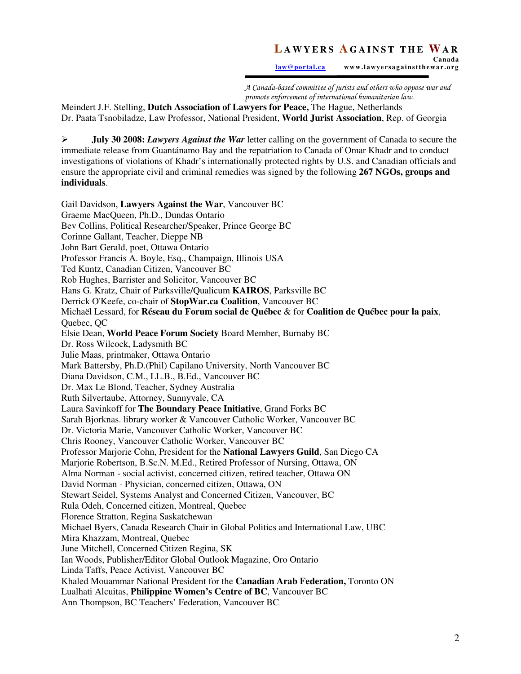law@portal.ca www.lawyersagainstthewar.org

A Canada-based committee of jurists and others who oppose war and promote enforcement of international humanitarian law.

Meindert J.F. Stelling, **Dutch Association of Lawyers for Peace,** The Hague, Netherlands Dr. Paata Tsnobiladze, Law Professor, National President, **World Jurist Association**, Rep. of Georgia

 **July 30 2008:** *Lawyers Against the War* letter calling on the government of Canada to secure the immediate release from Guantánamo Bay and the repatriation to Canada of Omar Khadr and to conduct investigations of violations of Khadr's internationally protected rights by U.S. and Canadian officials and ensure the appropriate civil and criminal remedies was signed by the following **267 NGOs, groups and individuals**.

Gail Davidson, **Lawyers Against the War**, Vancouver BC Graeme MacQueen, Ph.D., Dundas Ontario Bev Collins, Political Researcher/Speaker, Prince George BC Corinne Gallant, Teacher, Dieppe NB John Bart Gerald, poet, Ottawa Ontario Professor Francis A. Boyle, Esq., Champaign, Illinois USA Ted Kuntz, Canadian Citizen, Vancouver BC Rob Hughes, Barrister and Solicitor, Vancouver BC Hans G. Kratz, Chair of Parksville/Qualicum **KAIROS**, Parksville BC Derrick O'Keefe, co-chair of **StopWar.ca Coalition**, Vancouver BC Michaël Lessard, for **Réseau du Forum social de Québec** & for **Coalition de Québec pour la paix**, Quebec, QC Elsie Dean, **World Peace Forum Society** Board Member, Burnaby BC Dr. Ross Wilcock, Ladysmith BC Julie Maas, printmaker, Ottawa Ontario Mark Battersby, Ph.D.(Phil) Capilano University, North Vancouver BC Diana Davidson, C.M., LL.B., B.Ed., Vancouver BC Dr. Max Le Blond, Teacher, Sydney Australia Ruth Silvertaube, Attorney, Sunnyvale, CA Laura Savinkoff for **The Boundary Peace Initiative**, Grand Forks BC Sarah Bjorknas. library worker & Vancouver Catholic Worker, Vancouver BC Dr. Victoria Marie, Vancouver Catholic Worker, Vancouver BC Chris Rooney, Vancouver Catholic Worker, Vancouver BC Professor Marjorie Cohn, President for the **National Lawyers Guild**, San Diego CA Marjorie Robertson, B.Sc.N. M.Ed., Retired Professor of Nursing, Ottawa, ON Alma Norman - social activist, concerned citizen, retired teacher, Ottawa ON David Norman - Physician, concerned citizen, Ottawa, ON Stewart Seidel, Systems Analyst and Concerned Citizen, Vancouver, BC Rula Odeh, Concerned citizen, Montreal, Quebec Florence Stratton, Regina Saskatchewan Michael Byers, Canada Research Chair in Global Politics and International Law, UBC Mira Khazzam, Montreal, Quebec June Mitchell, Concerned Citizen Regina, SK Ian Woods, Publisher/Editor Global Outlook Magazine, Oro Ontario Linda Taffs, Peace Activist, Vancouver BC Khaled Mouammar National President for the **Canadian Arab Federation,** Toronto ON Lualhati Alcuitas, **Philippine Women's Centre of BC**, Vancouver BC Ann Thompson, BC Teachers' Federation, Vancouver BC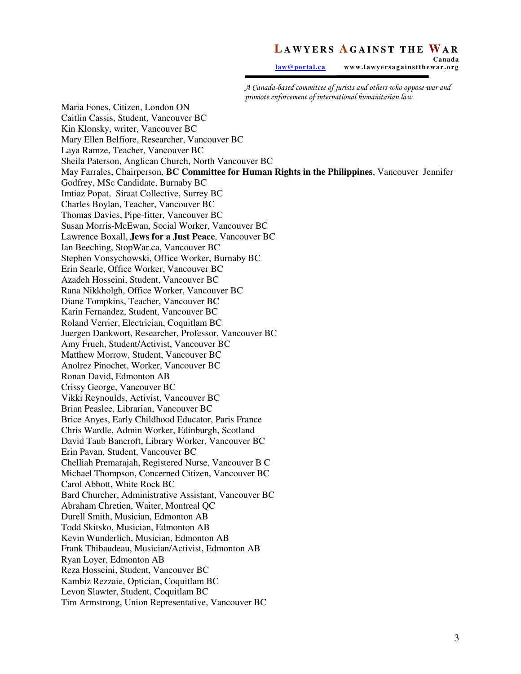law@portal.ca www.lawyersagainstthewar.org

A Canada-based committee of jurists and others who oppose war and promote enforcement of international humanitarian law.

Maria Fones, Citizen, London ON Caitlin Cassis, Student, Vancouver BC Kin Klonsky, writer, Vancouver BC Mary Ellen Belfiore, Researcher, Vancouver BC Laya Ramze, Teacher, Vancouver BC Sheila Paterson, Anglican Church, North Vancouver BC May Farrales, Chairperson, **BC Committee for Human Rights in the Philippines**, Vancouver Jennifer Godfrey, MSc Candidate, Burnaby BC Imtiaz Popat, Siraat Collective, Surrey BC Charles Boylan, Teacher, Vancouver BC Thomas Davies, Pipe-fitter, Vancouver BC Susan Morris-McEwan, Social Worker, Vancouver BC Lawrence Boxall, **Jews for a Just Peace**, Vancouver BC Ian Beeching, StopWar.ca, Vancouver BC Stephen Vonsychowski, Office Worker, Burnaby BC Erin Searle, Office Worker, Vancouver BC Azadeh Hosseini, Student, Vancouver BC Rana Nikkholgh, Office Worker, Vancouver BC Diane Tompkins, Teacher, Vancouver BC Karin Fernandez, Student, Vancouver BC Roland Verrier, Electrician, Coquitlam BC Juergen Dankwort, Researcher, Professor, Vancouver BC Amy Frueh, Student/Activist, Vancouver BC Matthew Morrow, Student, Vancouver BC Anolrez Pinochet, Worker, Vancouver BC Ronan David, Edmonton AB Crissy George, Vancouver BC Vikki Reynoulds, Activist, Vancouver BC Brian Peaslee, Librarian, Vancouver BC Brice Anyes, Early Childhood Educator, Paris France Chris Wardle, Admin Worker, Edinburgh, Scotland David Taub Bancroft, Library Worker, Vancouver BC Erin Pavan, Student, Vancouver BC Chelliah Premarajah, Registered Nurse, Vancouver B C Michael Thompson, Concerned Citizen, Vancouver BC Carol Abbott, White Rock BC Bard Churcher, Administrative Assistant, Vancouver BC Abraham Chretien, Waiter, Montreal QC Durell Smith, Musician, Edmonton AB Todd Skitsko, Musician, Edmonton AB Kevin Wunderlich, Musician, Edmonton AB Frank Thibaudeau, Musician/Activist, Edmonton AB Ryan Loyer, Edmonton AB Reza Hosseini, Student, Vancouver BC Kambiz Rezzaie, Optician, Coquitlam BC Levon Slawter, Student, Coquitlam BC Tim Armstrong, Union Representative, Vancouver BC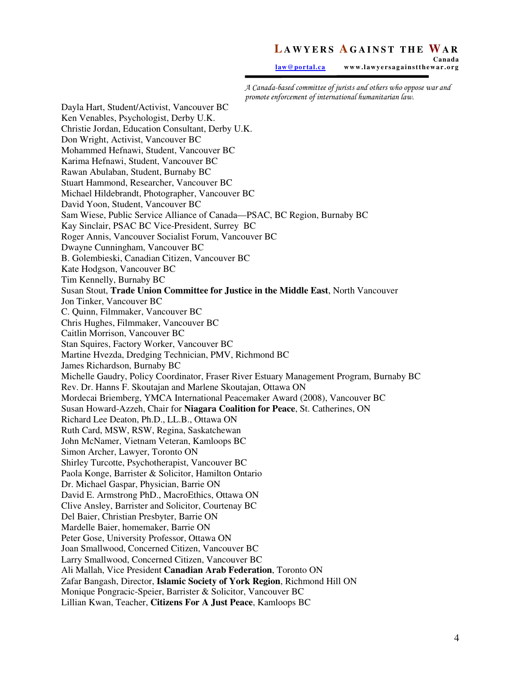law@portal.ca www.lawyersagainstthewar.org

A Canada-based committee of jurists and others who oppose war and promote enforcement of international humanitarian law.

Dayla Hart, Student/Activist, Vancouver BC Ken Venables, Psychologist, Derby U.K. Christie Jordan, Education Consultant, Derby U.K. Don Wright, Activist, Vancouver BC Mohammed Hefnawi, Student, Vancouver BC Karima Hefnawi, Student, Vancouver BC Rawan Abulaban, Student, Burnaby BC Stuart Hammond, Researcher, Vancouver BC Michael Hildebrandt, Photographer, Vancouver BC David Yoon, Student, Vancouver BC Sam Wiese, Public Service Alliance of Canada—PSAC, BC Region, Burnaby BC Kay Sinclair, PSAC BC Vice-President, Surrey BC Roger Annis, Vancouver Socialist Forum, Vancouver BC Dwayne Cunningham, Vancouver BC B. Golembieski, Canadian Citizen, Vancouver BC Kate Hodgson, Vancouver BC Tim Kennelly, Burnaby BC Susan Stout, **Trade Union Committee for Justice in the Middle East**, North Vancouver Jon Tinker, Vancouver BC C. Quinn, Filmmaker, Vancouver BC Chris Hughes, Filmmaker, Vancouver BC Caitlin Morrison, Vancouver BC Stan Squires, Factory Worker, Vancouver BC Martine Hvezda, Dredging Technician, PMV, Richmond BC James Richardson, Burnaby BC Michelle Gaudry, Policy Coordinator, Fraser River Estuary Management Program, Burnaby BC Rev. Dr. Hanns F. Skoutajan and Marlene Skoutajan, Ottawa ON Mordecai Briemberg, YMCA International Peacemaker Award (2008), Vancouver BC Susan Howard-Azzeh, Chair for **Niagara Coalition for Peace**, St. Catherines, ON Richard Lee Deaton, Ph.D., LL.B., Ottawa ON Ruth Card, MSW, RSW, Regina, Saskatchewan John McNamer, Vietnam Veteran, Kamloops BC Simon Archer, Lawyer, Toronto ON Shirley Turcotte, Psychotherapist, Vancouver BC Paola Konge, Barrister & Solicitor, Hamilton Ontario Dr. Michael Gaspar, Physician, Barrie ON David E. Armstrong PhD., MacroEthics, Ottawa ON Clive Ansley, Barrister and Solicitor, Courtenay BC Del Baier, Christian Presbyter, Barrie ON Mardelle Baier, homemaker, Barrie ON Peter Gose, University Professor, Ottawa ON Joan Smallwood, Concerned Citizen, Vancouver BC Larry Smallwood, Concerned Citizen, Vancouver BC Ali Mallah, Vice President **Canadian Arab Federation**, Toronto ON Zafar Bangash, Director, **Islamic Society of York Region**, Richmond Hill ON Monique Pongracic-Speier, Barrister & Solicitor, Vancouver BC Lillian Kwan, Teacher, **Citizens For A Just Peace**, Kamloops BC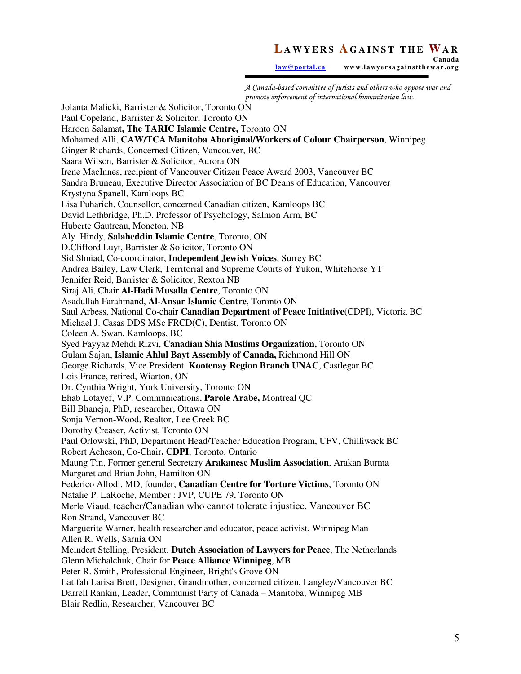law@portal.ca www.lawyersagainstthewar.org

A Canada-based committee of jurists and others who oppose war and promote enforcement of international humanitarian law. Jolanta Malicki, Barrister & Solicitor, Toronto ON Paul Copeland, Barrister & Solicitor, Toronto ON Haroon Salamat**, The TARIC Islamic Centre,** Toronto ON Mohamed Alli, **CAW/TCA Manitoba Aboriginal/Workers of Colour Chairperson**, Winnipeg Ginger Richards, Concerned Citizen, Vancouver, BC Saara Wilson, Barrister & Solicitor, Aurora ON Irene MacInnes, recipient of Vancouver Citizen Peace Award 2003, Vancouver BC Sandra Bruneau, Executive Director Association of BC Deans of Education, Vancouver Krystyna Spanell, Kamloops BC Lisa Puharich, Counsellor, concerned Canadian citizen, Kamloops BC David Lethbridge, Ph.D. Professor of Psychology, Salmon Arm, BC Huberte Gautreau, Moncton, NB Aly Hindy, **Salaheddin Islamic Centre**, Toronto, ON D.Clifford Luyt, Barrister & Solicitor, Toronto ON Sid Shniad, Co-coordinator, **Independent Jewish Voices**, Surrey BC Andrea Bailey, Law Clerk, Territorial and Supreme Courts of Yukon, Whitehorse YT Jennifer Reid, Barrister & Solicitor, Rexton NB Siraj Ali, Chair **Al-Hadi Musalla Centre**, Toronto ON Asadullah Farahmand, **Al-Ansar Islamic Centre**, Toronto ON Saul Arbess, National Co-chair **Canadian Department of Peace Initiative**(CDPI), Victoria BC Michael J. Casas DDS MSc FRCD(C), Dentist, Toronto ON Coleen A. Swan, Kamloops, BC Syed Fayyaz Mehdi Rizvi, **Canadian Shia Muslims Organization,** Toronto ON Gulam Sajan, **Islamic Ahlul Bayt Assembly of Canada,** Richmond Hill ON George Richards, Vice President **Kootenay Region Branch UNAC**, Castlegar BC Lois France, retired, Wiarton, ON Dr. Cynthia Wright, York University, Toronto ON Ehab Lotayef, V.P. Communications, **Parole Arabe,** Montreal QC Bill Bhaneja, PhD, researcher, Ottawa ON Sonja Vernon-Wood, Realtor, Lee Creek BC Dorothy Creaser, Activist, Toronto ON Paul Orlowski, PhD, Department Head/Teacher Education Program, UFV, Chilliwack BC Robert Acheson, Co-Chair**, CDPI**, Toronto, Ontario Maung Tin, Former general Secretary **Arakanese Muslim Association**, Arakan Burma Margaret and Brian John, Hamilton ON Federico Allodi, MD, founder, **Canadian Centre for Torture Victims**, Toronto ON Natalie P. LaRoche, Member : JVP, CUPE 79, Toronto ON Merle Viaud, teacher/Canadian who cannot tolerate injustice, Vancouver BC Ron Strand, Vancouver BC Marguerite Warner, health researcher and educator, peace activist, Winnipeg Man Allen R. Wells, Sarnia ON Meindert Stelling, President, **Dutch Association of Lawyers for Peace**, The Netherlands Glenn Michalchuk, Chair for **Peace Alliance Winnipeg**, MB Peter R. Smith, Professional Engineer, Bright's Grove ON Latifah Larisa Brett, Designer, Grandmother, concerned citizen, Langley/Vancouver BC Darrell Rankin, Leader, Communist Party of Canada – Manitoba, Winnipeg MB Blair Redlin, Researcher, Vancouver BC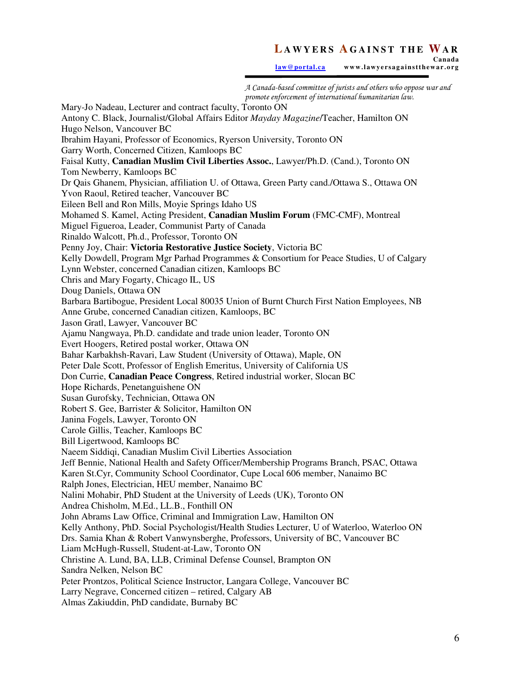law@portal.ca www.lawyersagainstthewar.org

A Canada-based committee of jurists and others who oppose war and promote enforcement of international humanitarian law. Mary-Jo Nadeau, Lecturer and contract faculty, Toronto ON Antony C. Black, Journalist/Global Affairs Editor *Mayday Magazine*/Teacher, Hamilton ON Hugo Nelson, Vancouver BC Ibrahim Hayani, Professor of Economics, Ryerson University, Toronto ON Garry Worth, Concerned Citizen, Kamloops BC Faisal Kutty, **Canadian Muslim Civil Liberties Assoc.**, Lawyer/Ph.D. (Cand.), Toronto ON Tom Newberry, Kamloops BC Dr Qais Ghanem, Physician, affiliation U. of Ottawa, Green Party cand./Ottawa S., Ottawa ON Yvon Raoul, Retired teacher, Vancouver BC Eileen Bell and Ron Mills, Moyie Springs Idaho US Mohamed S. Kamel, Acting President, **Canadian Muslim Forum** (FMC-CMF), Montreal Miguel Figueroa, Leader, Communist Party of Canada Rinaldo Walcott, Ph.d., Professor, Toronto ON Penny Joy, Chair: **Victoria Restorative Justice Society**, Victoria BC Kelly Dowdell, Program Mgr Parhad Programmes & Consortium for Peace Studies, U of Calgary Lynn Webster, concerned Canadian citizen, Kamloops BC Chris and Mary Fogarty, Chicago IL, US Doug Daniels, Ottawa ON Barbara Bartibogue, President Local 80035 Union of Burnt Church First Nation Employees, NB Anne Grube, concerned Canadian citizen, Kamloops, BC Jason Gratl, Lawyer, Vancouver BC Ajamu Nangwaya, Ph.D. candidate and trade union leader, Toronto ON Evert Hoogers, Retired postal worker, Ottawa ON Bahar Karbakhsh-Ravari, Law Student (University of Ottawa), Maple, ON Peter Dale Scott, Professor of English Emeritus, University of California US Don Currie, **Canadian Peace Congress**, Retired industrial worker, Slocan BC Hope Richards, Penetanguishene ON Susan Gurofsky, Technician, Ottawa ON Robert S. Gee, Barrister & Solicitor, Hamilton ON Janina Fogels, Lawyer, Toronto ON Carole Gillis, Teacher, Kamloops BC Bill Ligertwood, Kamloops BC Naeem Siddiqi, Canadian Muslim Civil Liberties Association Jeff Bennie, National Health and Safety Officer/Membership Programs Branch, PSAC, Ottawa Karen St.Cyr, Community School Coordinator, Cupe Local 606 member, Nanaimo BC Ralph Jones, Electrician, HEU member, Nanaimo BC Nalini Mohabir, PhD Student at the University of Leeds (UK), Toronto ON Andrea Chisholm, M.Ed., LL.B., Fonthill ON John Abrams Law Office, Criminal and Immigration Law, Hamilton ON Kelly Anthony, PhD. Social Psychologist/Health Studies Lecturer, U of Waterloo, Waterloo ON Drs. Samia Khan & Robert Vanwynsberghe, Professors, University of BC, Vancouver BC Liam McHugh-Russell, Student-at-Law, Toronto ON Christine A. Lund, BA, LLB, Criminal Defense Counsel, Brampton ON Sandra Nelken, Nelson BC Peter Prontzos, Political Science Instructor, Langara College, Vancouver BC Larry Negrave, Concerned citizen – retired, Calgary AB Almas Zakiuddin, PhD candidate, Burnaby BC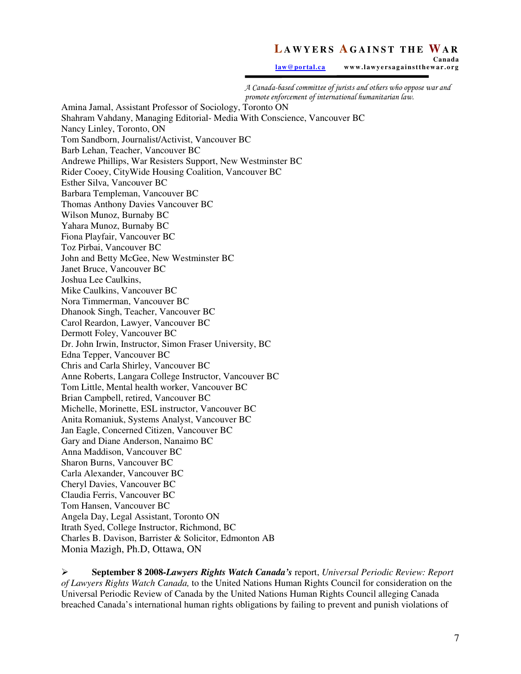**Canada**  law@portal.ca www.lawyersagainstthewar.org

A Canada-based committee of jurists and others who oppose war and promote enforcement of international humanitarian law.

Amina Jamal, Assistant Professor of Sociology, Toronto ON Shahram Vahdany, Managing Editorial- Media With Conscience, Vancouver BC Nancy Linley, Toronto, ON Tom Sandborn, Journalist/Activist, Vancouver BC Barb Lehan, Teacher, Vancouver BC Andrewe Phillips, War Resisters Support, New Westminster BC Rider Cooey, CityWide Housing Coalition, Vancouver BC Esther Silva, Vancouver BC Barbara Templeman, Vancouver BC Thomas Anthony Davies Vancouver BC Wilson Munoz, Burnaby BC Yahara Munoz, Burnaby BC Fiona Playfair, Vancouver BC Toz Pirbai, Vancouver BC John and Betty McGee, New Westminster BC Janet Bruce, Vancouver BC Joshua Lee Caulkins, Mike Caulkins, Vancouver BC Nora Timmerman, Vancouver BC Dhanook Singh, Teacher, Vancouver BC Carol Reardon, Lawyer, Vancouver BC Dermott Foley, Vancouver BC Dr. John Irwin, Instructor, Simon Fraser University, BC Edna Tepper, Vancouver BC Chris and Carla Shirley, Vancouver BC Anne Roberts, Langara College Instructor, Vancouver BC Tom Little, Mental health worker, Vancouver BC Brian Campbell, retired, Vancouver BC Michelle, Morinette, ESL instructor, Vancouver BC Anita Romaniuk, Systems Analyst, Vancouver BC Jan Eagle, Concerned Citizen, Vancouver BC Gary and Diane Anderson, Nanaimo BC Anna Maddison, Vancouver BC Sharon Burns, Vancouver BC Carla Alexander, Vancouver BC Cheryl Davies, Vancouver BC Claudia Ferris, Vancouver BC Tom Hansen, Vancouver BC Angela Day, Legal Assistant, Toronto ON Itrath Syed, College Instructor, Richmond, BC Charles B. Davison, Barrister & Solicitor, Edmonton AB Monia Mazigh, Ph.D, Ottawa, ON

 **September 8 2008-***Lawyers Rights Watch Canada's* report, *Universal Periodic Review: Report of Lawyers Rights Watch Canada,* to the United Nations Human Rights Council for consideration on the Universal Periodic Review of Canada by the United Nations Human Rights Council alleging Canada breached Canada's international human rights obligations by failing to prevent and punish violations of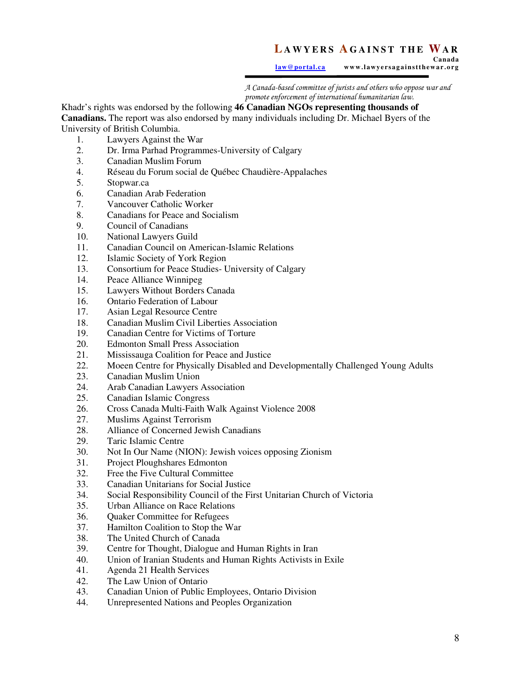**Canada**  law@portal.ca www.lawyersagainstthewar.org

A Canada-based committee of jurists and others who oppose war and promote enforcement of international humanitarian law.

### Khadr's rights was endorsed by the following **46 Canadian NGOs representing thousands of**

**Canadians.** The report was also endorsed by many individuals including Dr. Michael Byers of the University of British Columbia.

- 1. Lawyers Against the War<br>2. Dr. Irma Parhad Programm
- 2. Dr. Irma Parhad Programmes-University of Calgary<br>3. Canadian Muslim Forum
- 3. Canadian Muslim Forum
- 4. Réseau du Forum social de Québec Chaudière-Appalaches
- 5. Stopwar.ca
- 6. Canadian Arab Federation
- 7. Vancouver Catholic Worker
- 8. Canadians for Peace and Socialism
- 9. Council of Canadians
- 10. National Lawyers Guild
- 11. Canadian Council on American-Islamic Relations
- 12. Islamic Society of York Region
- 13. Consortium for Peace Studies- University of Calgary
- 14. Peace Alliance Winnipeg
- 15. Lawyers Without Borders Canada
- 16. Ontario Federation of Labour
- 17. Asian Legal Resource Centre
- 18. Canadian Muslim Civil Liberties Association
- 19. Canadian Centre for Victims of Torture
- 20. Edmonton Small Press Association
- 21. Mississauga Coalition for Peace and Justice
- 22. Moeen Centre for Physically Disabled and Developmentally Challenged Young Adults
- 23. Canadian Muslim Union
- 24. Arab Canadian Lawyers Association
- 25. Canadian Islamic Congress<br>26. Cross Canada Multi-Faith V
- 26. Cross Canada Multi-Faith Walk Against Violence 2008
- 27. Muslims Against Terrorism
- 28. Alliance of Concerned Jewish Canadians
- 29. Taric Islamic Centre
- 30. Not In Our Name (NION): Jewish voices opposing Zionism
- 31. Project Ploughshares Edmonton<br>32. Free the Five Cultural Committe
- Free the Five Cultural Committee
- 33. Canadian Unitarians for Social Justice
- 34. Social Responsibility Council of the First Unitarian Church of Victoria
- 35. Urban Alliance on Race Relations
- 36. Quaker Committee for Refugees
- 37. Hamilton Coalition to Stop the War
- 38. The United Church of Canada
- 39. Centre for Thought, Dialogue and Human Rights in Iran
- 40. Union of Iranian Students and Human Rights Activists in Exile
- 41. Agenda 21 Health Services
- 42. The Law Union of Ontario
- 43. Canadian Union of Public Employees, Ontario Division
- 44. Unrepresented Nations and Peoples Organization